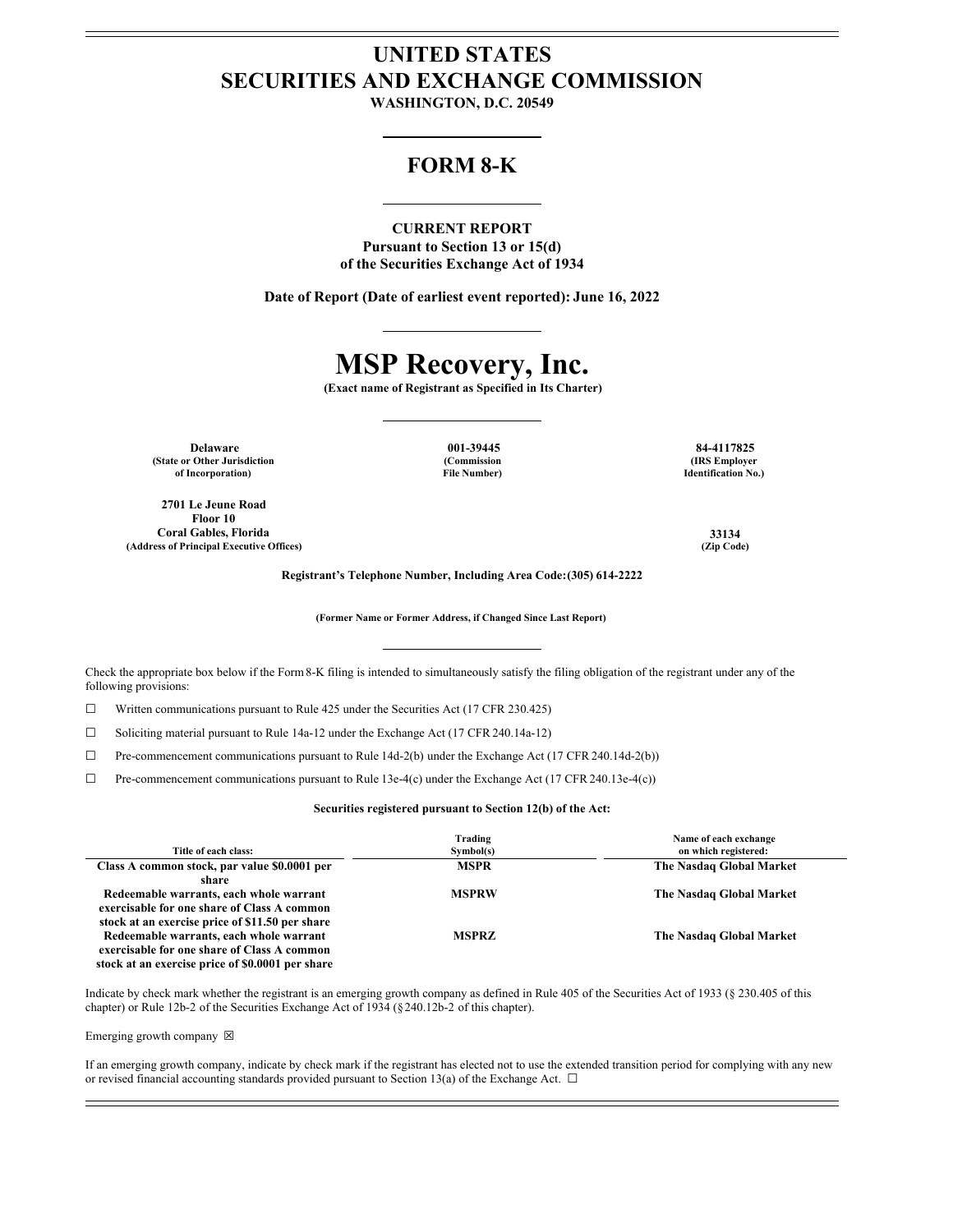# **UNITED STATES SECURITIES AND EXCHANGE COMMISSION**

**WASHINGTON, D.C. 20549**

# **FORM 8-K**

# **CURRENT REPORT**

**Pursuant to Section 13 or 15(d) of the Securities Exchange Act of 1934**

**Date of Report (Date of earliest event reported): June 16, 2022**

# **MSP Recovery, Inc.**

**(Exact name of Registrant as Specified in Its Charter)**

**Delaware 001-39445 84-4117825 (State or Other Jurisdiction of Incorporation)**

**2701 Le Jeune Road Floor 10 Coral Gables, Florida 33134 (Address of Principal Executive Offices) (Zip Code)**

**(Commission File Number)**

**(IRS Employer Identification No.)**

**Registrant's Telephone Number, Including Area Code:(305) 614-2222**

**(Former Name or Former Address, if Changed Since Last Report)**

Check the appropriate box below if the Form8-K filing is intended to simultaneously satisfy the filing obligation of the registrant under any of the following provisions:

☐ Written communications pursuant to Rule 425 under the Securities Act (17 CFR 230.425)

☐ Soliciting material pursuant to Rule 14a-12 under the Exchange Act (17 CFR 240.14a-12)

☐ Pre-commencement communications pursuant to Rule 14d-2(b) under the Exchange Act (17 CFR 240.14d-2(b))

☐ Pre-commencement communications pursuant to Rule 13e-4(c) under the Exchange Act (17 CFR 240.13e-4(c))

**Securities registered pursuant to Section 12(b) of the Act:**

| Title of each class:                                                                                                                       | Trading<br>Symbol(s) | Name of each exchange<br>on which registered: |
|--------------------------------------------------------------------------------------------------------------------------------------------|----------------------|-----------------------------------------------|
| Class A common stock, par value \$0.0001 per<br>share                                                                                      | <b>MSPR</b>          | The Nasdaq Global Market                      |
| Redeemable warrants, each whole warrant<br>exercisable for one share of Class A common<br>stock at an exercise price of \$11.50 per share  | <b>MSPRW</b>         | The Nasdaq Global Market                      |
| Redeemable warrants, each whole warrant<br>exercisable for one share of Class A common<br>stock at an exercise price of \$0.0001 per share | <b>MSPRZ</b>         | The Nasdaq Global Market                      |

Indicate by check mark whether the registrant is an emerging growth company as defined in Rule 405 of the Securities Act of 1933 (§ 230.405 of this chapter) or Rule 12b-2 of the Securities Exchange Act of 1934 (§240.12b-2 of this chapter).

#### Emerging growth company  $\boxtimes$

If an emerging growth company, indicate by check mark if the registrant has elected not to use the extended transition period for complying with any new or revised financial accounting standards provided pursuant to Section 13(a) of the Exchange Act.  $\Box$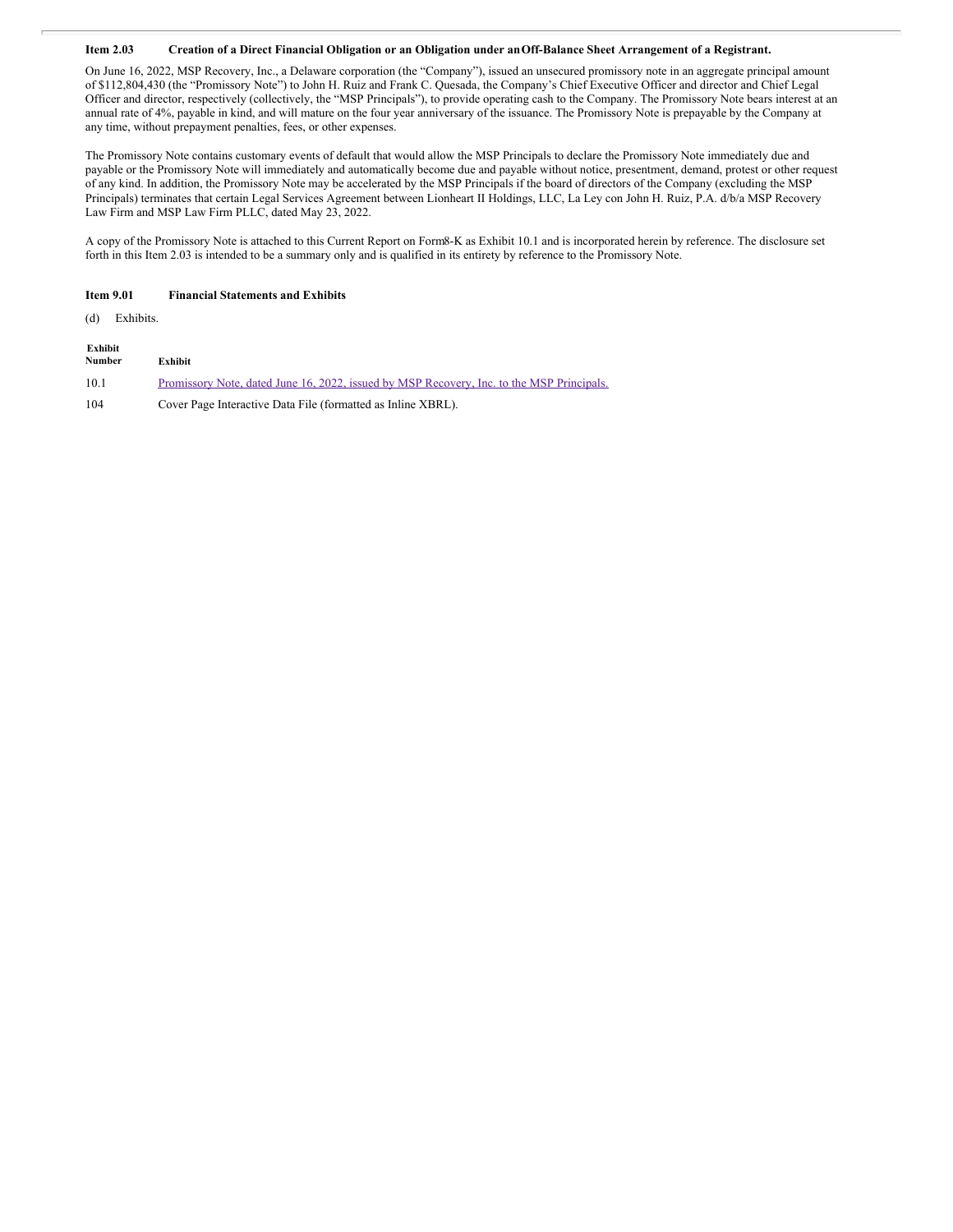# Item 2.03 Creation of a Direct Financial Obligation or an Obligation under an Off-Balance Sheet Arrangement of a Registrant.

On June 16, 2022, MSP Recovery, Inc., a Delaware corporation (the "Company"), issued an unsecured promissory note in an aggregate principal amount of \$112,804,430 (the "Promissory Note") to John H. Ruiz and Frank C. Quesada, the Company's Chief Executive Officer and director and Chief Legal Officer and director, respectively (collectively, the "MSP Principals"), to provide operating cash to the Company. The Promissory Note bears interest at an annual rate of 4%, payable in kind, and will mature on the four year anniversary of the issuance. The Promissory Note is prepayable by the Company at any time, without prepayment penalties, fees, or other expenses.

The Promissory Note contains customary events of default that would allow the MSP Principals to declare the Promissory Note immediately due and payable or the Promissory Note will immediately and automatically become due and payable without notice, presentment, demand, protest or other request of any kind. In addition, the Promissory Note may be accelerated by the MSP Principals if the board of directors of the Company (excluding the MSP Principals) terminates that certain Legal Services Agreement between Lionheart II Holdings, LLC, La Ley con John H. Ruiz, P.A. d/b/a MSP Recovery Law Firm and MSP Law Firm PLLC, dated May 23, 2022.

A copy of the Promissory Note is attached to this Current Report on Form8-K as Exhibit 10.1 and is incorporated herein by reference. The disclosure set forth in this Item 2.03 is intended to be a summary only and is qualified in its entirety by reference to the Promissory Note.

#### **Item 9.01 Financial Statements and Exhibits**

(d) Exhibits.

| Exhibit<br>Number | <b>Exhibit</b>                                                                            |
|-------------------|-------------------------------------------------------------------------------------------|
| 10.1              | Promissory Note, dated June 16, 2022, issued by MSP Recovery, Inc. to the MSP Principals. |
| 104               | Cover Page Interactive Data File (formatted as Inline XBRL).                              |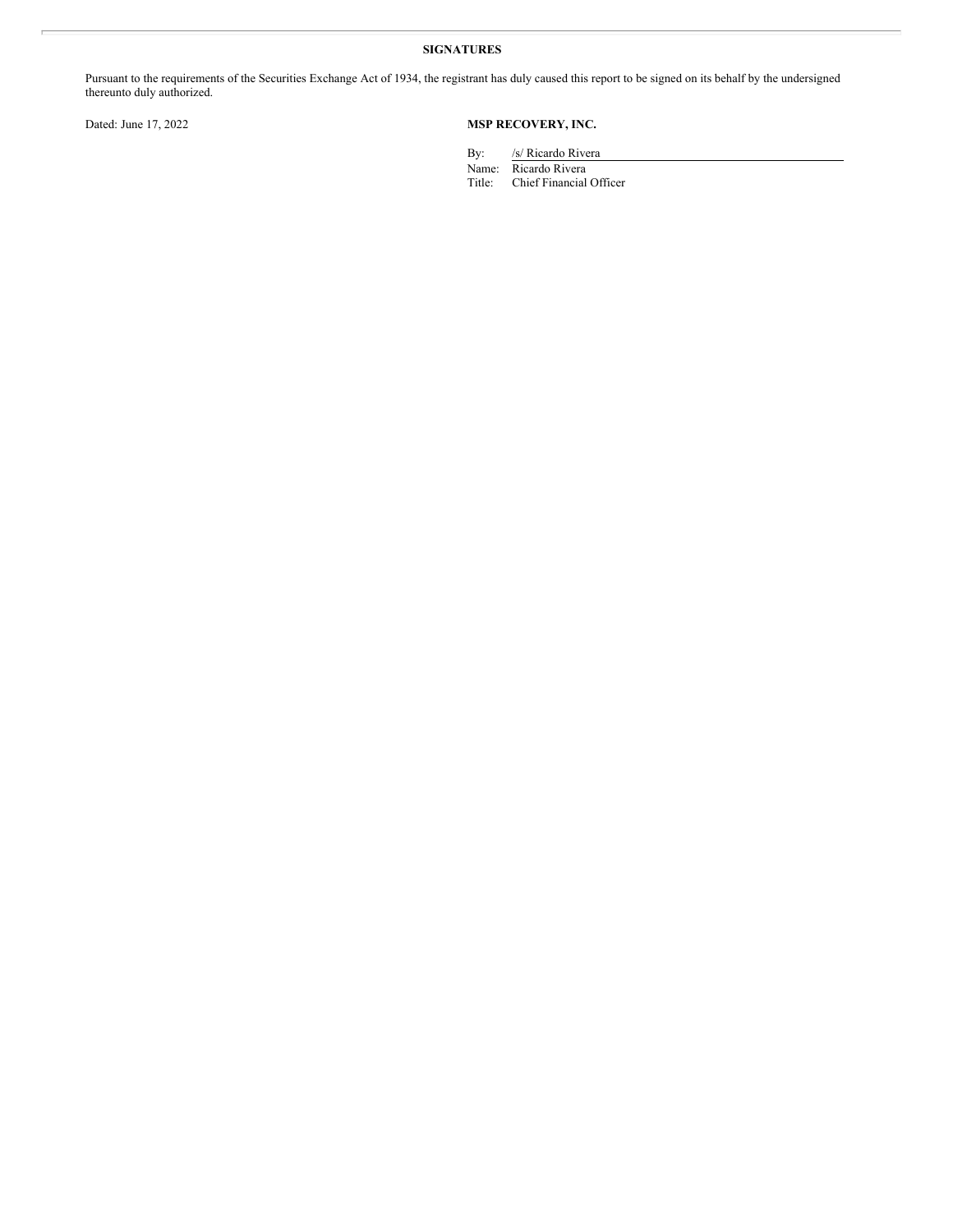# **SIGNATURES**

Pursuant to the requirements of the Securities Exchange Act of 1934, the registrant has duly caused this report to be signed on its behalf by the undersigned thereunto duly authorized.

# Dated: June 17, 2022 **MSP RECOVERY, INC.**

By: /s/ Ricardo Rivera

Name: Ricardo Rivera Title: Chief Financial Officer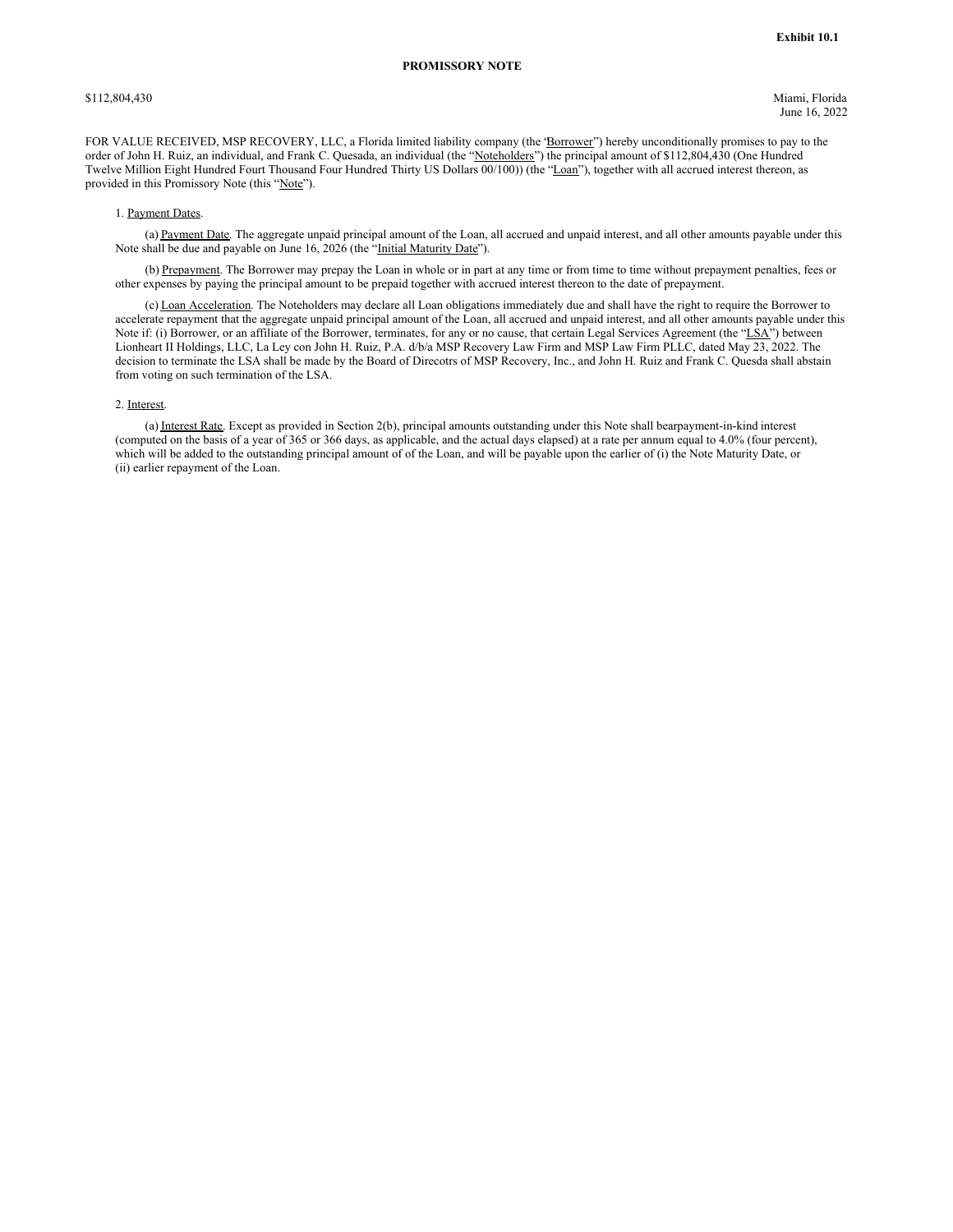\$112,804,430 Miami, Florida June 16, 2022

FOR VALUE RECEIVED, MSP RECOVERY, LLC, a Florida limited liability company (the 'Borrower'') hereby unconditionally promises to pay to the order of John H. Ruiz, an individual, and Frank C. Quesada, an individual (the "Noteholders") the principal amount of \$112,804,430 (One Hundred Twelve Million Eight Hundred Fourt Thousand Four Hundred Thirty US Dollars 00/100)) (the "Loan"), together with all accrued interest thereon, as provided in this Promissory Note (this "Note").

#### 1. Payment Dates.

(a) Payment Date. The aggregate unpaid principal amount of the Loan, all accrued and unpaid interest, and all other amounts payable under this Note shall be due and payable on June 16, 2026 (the "Initial Maturity Date").

(b) Prepayment. The Borrower may prepay the Loan in whole or in part at any time or from time to time without prepayment penalties, fees or other expenses by paying the principal amount to be prepaid together with accrued interest thereon to the date of prepayment.

(c) Loan Acceleration. The Noteholders may declare all Loan obligations immediately due and shall have the right to require the Borrower to accelerate repayment that the aggregate unpaid principal amount of the Loan, all accrued and unpaid interest, and all other amounts payable under this Note if: (i) Borrower, or an affiliate of the Borrower, terminates, for any or no cause, that certain Legal Services Agreement (the "LSA") between Lionheart II Holdings, LLC, La Ley con John H. Ruiz, P.A. d/b/a MSP Recovery Law Firm and MSP Law Firm PLLC, dated May 23, 2022. The decision to terminate the LSA shall be made by the Board of Direcotrs of MSP Recovery, Inc., and John H. Ruiz and Frank C. Quesda shall abstain from voting on such termination of the LSA.

### 2. Interest.

(a) Interest Rate. Except as provided in Section 2(b), principal amounts outstanding under this Note shall bearpayment-in-kind interest (computed on the basis of a year of 365 or 366 days, as applicable, and the actual days elapsed) at a rate per annum equal to 4.0% (four percent), which will be added to the outstanding principal amount of of the Loan, and will be payable upon the earlier of (i) the Note Maturity Date, or (ii) earlier repayment of the Loan.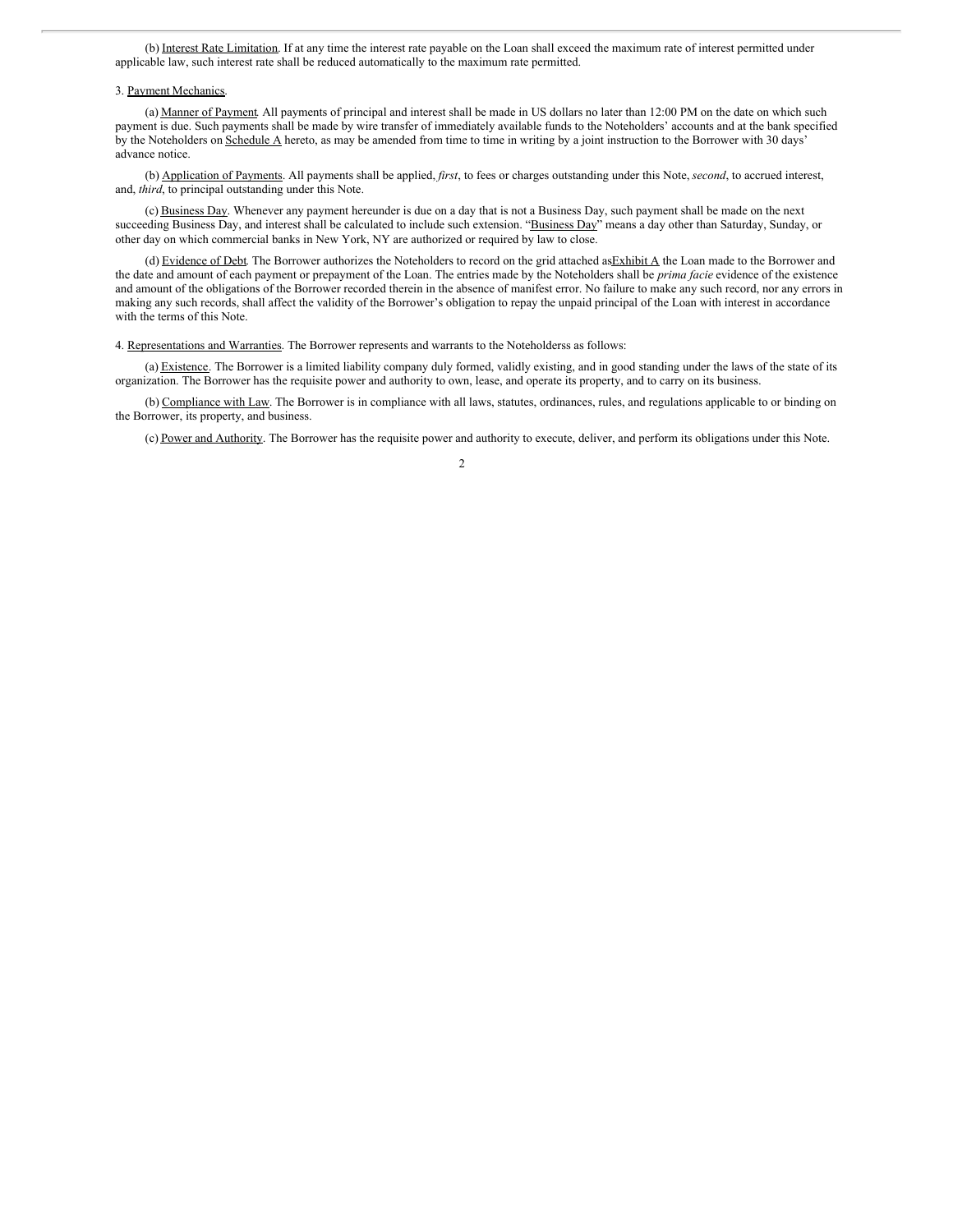(b) Interest Rate Limitation. If at any time the interest rate payable on the Loan shall exceed the maximum rate of interest permitted under applicable law, such interest rate shall be reduced automatically to the maximum rate permitted.

#### 3. Payment Mechanics.

(a) Manner of Payment. All payments of principal and interest shall be made in US dollars no later than 12:00 PM on the date on which such payment is due. Such payments shall be made by wire transfer of immediately available funds to the Noteholders' accounts and at the bank specified by the Noteholders on Schedule A hereto, as may be amended from time to time in writing by a joint instruction to the Borrower with 30 days' advance notice.

(b) Application of Payments. All payments shall be applied, *first*, to fees or charges outstanding under this Note, *second*, to accrued interest, and, *third*, to principal outstanding under this Note.

(c) Business Day. Whenever any payment hereunder is due on a day that is not a Business Day, such payment shall be made on the next succeeding Business Day, and interest shall be calculated to include such extension. "Business Day" means a day other than Saturday, Sunday, or other day on which commercial banks in New York, NY are authorized or required by law to close.

(d) Evidence of Debt. The Borrower authorizes the Noteholders to record on the grid attached as Exhibit  $\triangle$  the Loan made to the Borrower and the date and amount of each payment or prepayment of the Loan. The entries made by the Noteholders shall be *prima facie* evidence of the existence and amount of the obligations of the Borrower recorded therein in the absence of manifest error. No failure to make any such record, nor any errors in making any such records, shall affect the validity of the Borrower's obligation to repay the unpaid principal of the Loan with interest in accordance with the terms of this Note.

4. Representations and Warranties. The Borrower represents and warrants to the Noteholderss as follows:

(a) Existence. The Borrower is a limited liability company duly formed, validly existing, and in good standing under the laws of the state of its organization. The Borrower has the requisite power and authority to own, lease, and operate its property, and to carry on its business.

(b) Compliance with Law. The Borrower is in compliance with all laws, statutes, ordinances, rules, and regulations applicable to or binding on the Borrower, its property, and business.

(c) Power and Authority. The Borrower has the requisite power and authority to execute, deliver, and perform its obligations under this Note.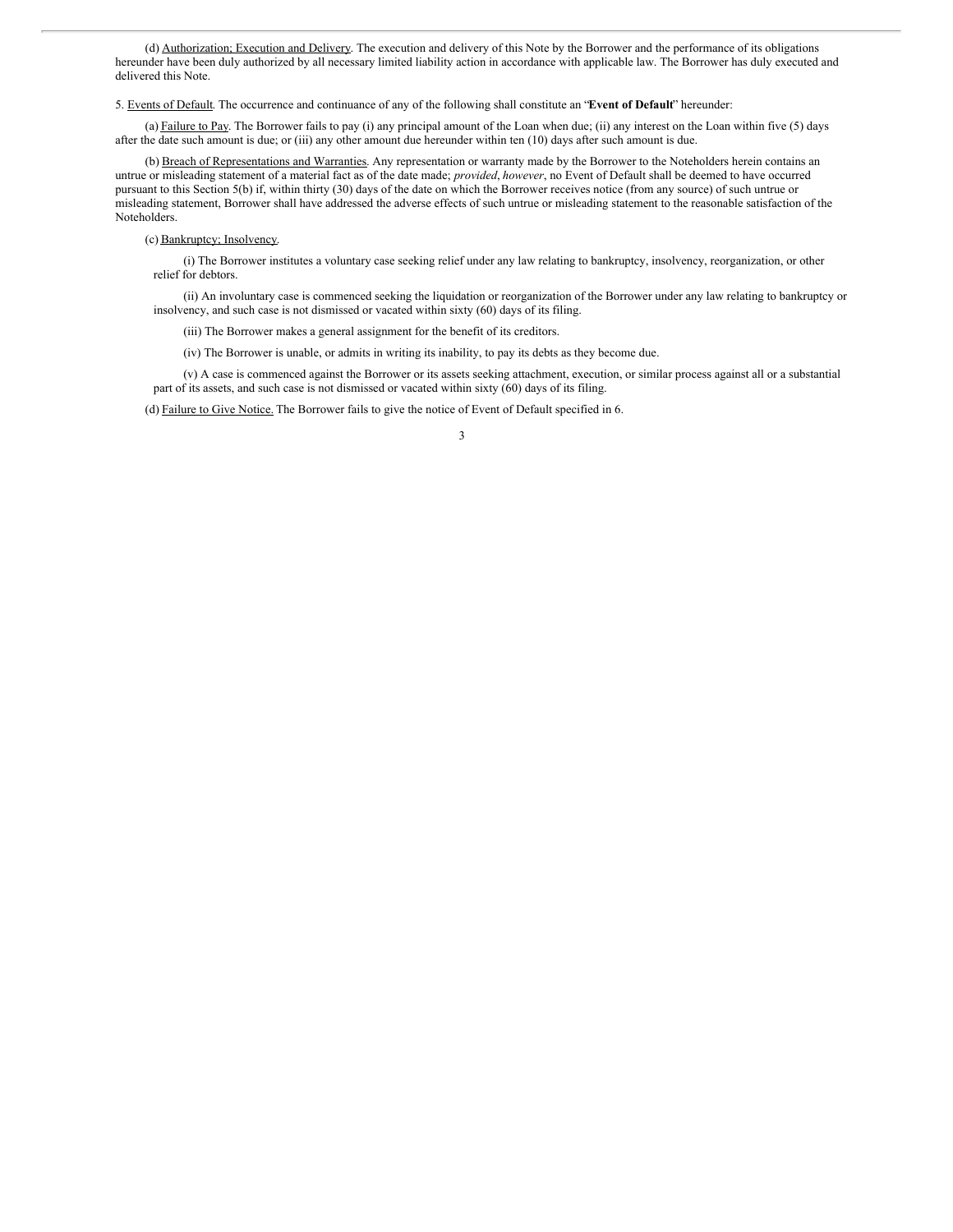(d) Authorization; Execution and Delivery. The execution and delivery of this Note by the Borrower and the performance of its obligations hereunder have been duly authorized by all necessary limited liability action in accordance with applicable law. The Borrower has duly executed and delivered this Note.

5. Events of Default. The occurrence and continuance of any of the following shall constitute an "**Event of Default**" hereunder:

(a) Failure to Pay. The Borrower fails to pay (i) any principal amount of the Loan when due; (ii) any interest on the Loan within five (5) days after the date such amount is due; or (iii) any other amount due hereunder within ten (10) days after such amount is due.

(b) Breach of Representations and Warranties. Any representation or warranty made by the Borrower to the Noteholders herein contains an untrue or misleading statement of a material fact as of the date made; *provided*, *however*, no Event of Default shall be deemed to have occurred pursuant to this Section 5(b) if, within thirty (30) days of the date on which the Borrower receives notice (from any source) of such untrue or misleading statement, Borrower shall have addressed the adverse effects of such untrue or misleading statement to the reasonable satisfaction of the Noteholders.

(c) Bankruptcy; Insolvency.

(i) The Borrower institutes a voluntary case seeking relief under any law relating to bankruptcy, insolvency, reorganization, or other relief for debtors.

(ii) An involuntary case is commenced seeking the liquidation or reorganization of the Borrower under any law relating to bankruptcy or insolvency, and such case is not dismissed or vacated within sixty (60) days of its filing.

(iii) The Borrower makes a general assignment for the benefit of its creditors.

(iv) The Borrower is unable, or admits in writing its inability, to pay its debts as they become due.

(v) A case is commenced against the Borrower or its assets seeking attachment, execution, or similar process against all or a substantial part of its assets, and such case is not dismissed or vacated within sixty (60) days of its filing.

(d) Failure to Give Notice. The Borrower fails to give the notice of Event of Default specified in 6.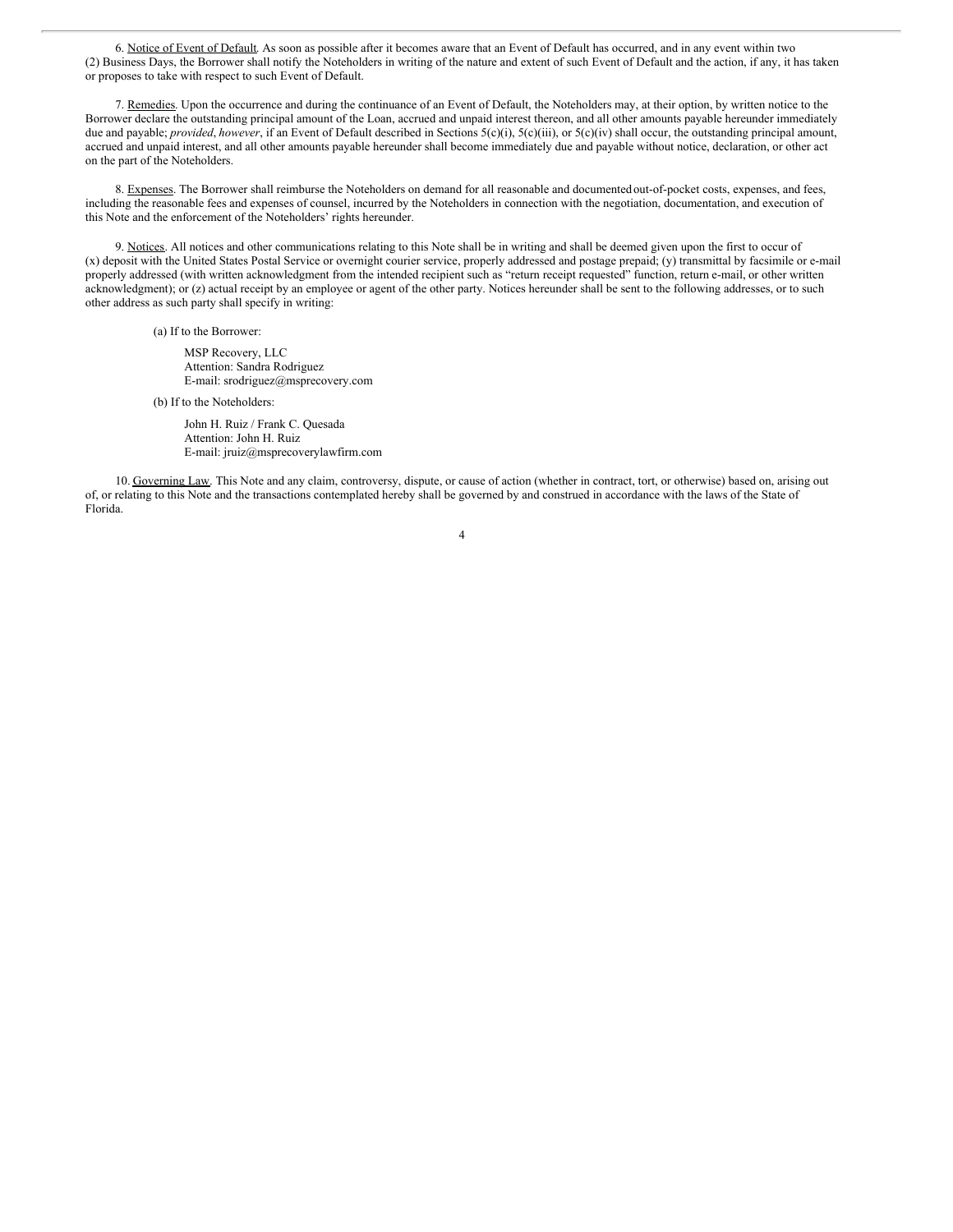6. Notice of Event of Default. As soon as possible after it becomes aware that an Event of Default has occurred, and in any event within two (2) Business Days, the Borrower shall notify the Noteholders in writing of the nature and extent of such Event of Default and the action, if any, it has taken or proposes to take with respect to such Event of Default.

7. Remedies. Upon the occurrence and during the continuance of an Event of Default, the Noteholders may, at their option, by written notice to the Borrower declare the outstanding principal amount of the Loan, accrued and unpaid interest thereon, and all other amounts payable hereunder immediately due and payable; *provided*, *however*, if an Event of Default described in Sections 5(c)(i), 5(c)(iii), or 5(c)(iv) shall occur, the outstanding principal amount, accrued and unpaid interest, and all other amounts payable hereunder shall become immediately due and payable without notice, declaration, or other act on the part of the Noteholders.

8. Expenses. The Borrower shall reimburse the Noteholders on demand for all reasonable and documentedout-of-pocket costs, expenses, and fees, including the reasonable fees and expenses of counsel, incurred by the Noteholders in connection with the negotiation, documentation, and execution of this Note and the enforcement of the Noteholders' rights hereunder.

9. Notices. All notices and other communications relating to this Note shall be in writing and shall be deemed given upon the first to occur of (x) deposit with the United States Postal Service or overnight courier service, properly addressed and postage prepaid; (y) transmittal by facsimile or e-mail properly addressed (with written acknowledgment from the intended recipient such as "return receipt requested" function, return e-mail, or other written acknowledgment); or (z) actual receipt by an employee or agent of the other party. Notices hereunder shall be sent to the following addresses, or to such other address as such party shall specify in writing:

(a) If to the Borrower:

MSP Recovery, LLC Attention: Sandra Rodriguez E-mail: srodriguez@msprecovery.com

(b) If to the Noteholders:

John H. Ruiz / Frank C. Quesada Attention: John H. Ruiz E-mail: jruiz@msprecoverylawfirm.com

10. Governing Law. This Note and any claim, controversy, dispute, or cause of action (whether in contract, tort, or otherwise) based on, arising out of, or relating to this Note and the transactions contemplated hereby shall be governed by and construed in accordance with the laws of the State of Florida.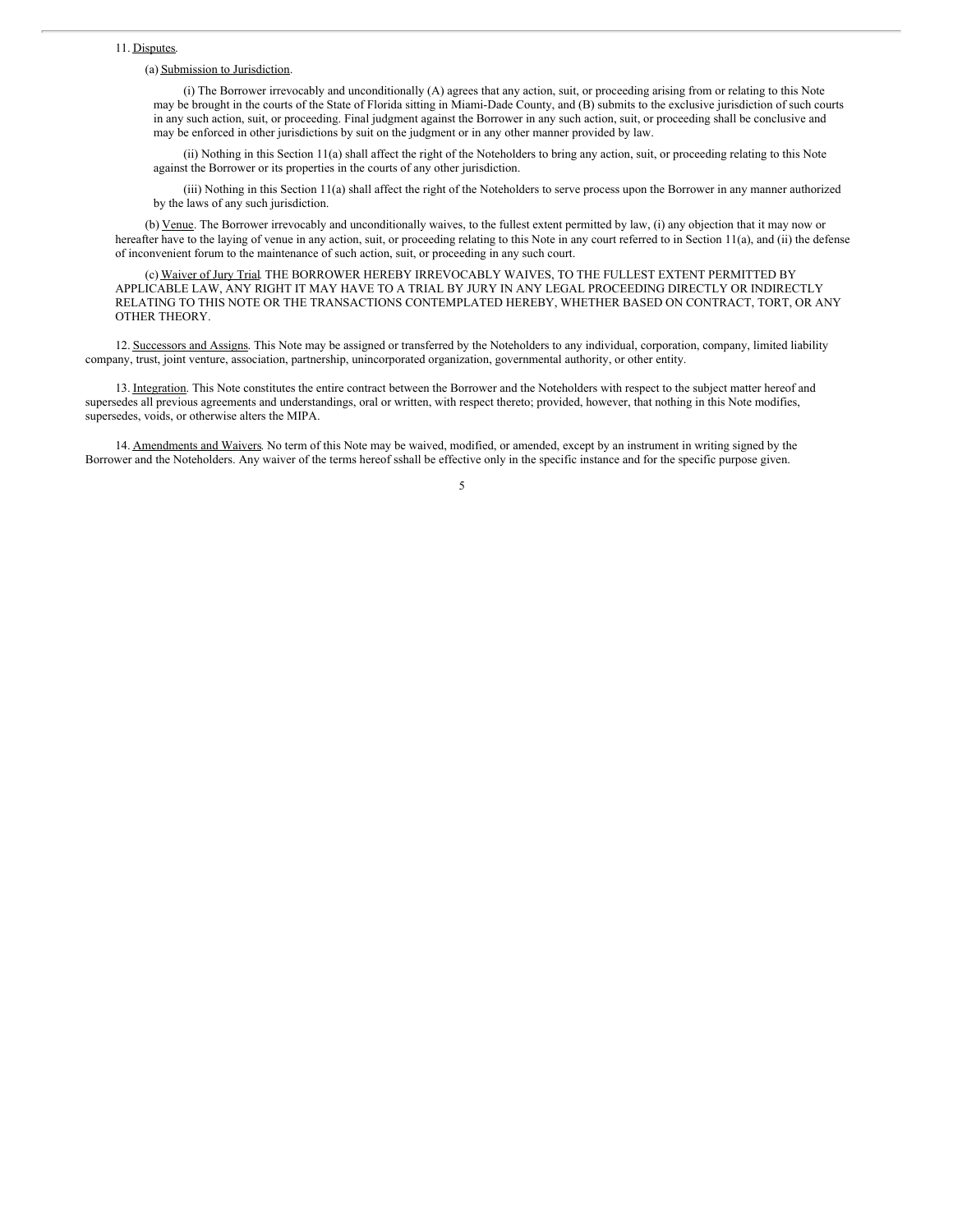#### <span id="page-7-0"></span>11. Disputes.

#### (a) Submission to Jurisdiction.

(i) The Borrower irrevocably and unconditionally (A) agrees that any action, suit, or proceeding arising from or relating to this Note may be brought in the courts of the State of Florida sitting in Miami-Dade County, and (B) submits to the exclusive jurisdiction of such courts in any such action, suit, or proceeding. Final judgment against the Borrower in any such action, suit, or proceeding shall be conclusive and may be enforced in other jurisdictions by suit on the judgment or in any other manner provided by law.

(ii) Nothing in this Section 11(a) shall affect the right of the Noteholders to bring any action, suit, or proceeding relating to this Note against the Borrower or its properties in the courts of any other jurisdiction.

(iii) Nothing in this Section 11(a) shall affect the right of the Noteholders to serve process upon the Borrower in any manner authorized by the laws of any such jurisdiction.

(b) Venue. The Borrower irrevocably and unconditionally waives, to the fullest extent permitted by law, (i) any objection that it may now or hereafter have to the laying of venue in any action, suit, or proceeding relating to this Note in any court referred to in Section 11(a), and (ii) the defense of inconvenient forum to the maintenance of such action, suit, or proceeding in any such court.

(c) Waiver of Jury Trial. THE BORROWER HEREBY IRREVOCABLY WAIVES, TO THE FULLEST EXTENT PERMITTED BY APPLICABLE LAW, ANY RIGHT IT MAY HAVE TO A TRIAL BY JURY IN ANY LEGAL PROCEEDING DIRECTLY OR INDIRECTLY RELATING TO THIS NOTE OR THE TRANSACTIONS CONTEMPLATED HEREBY, WHETHER BASED ON CONTRACT, TORT, OR ANY OTHER THEORY.

12. Successors and Assigns. This Note may be assigned or transferred by the Noteholders to any individual, corporation, company, limited liability company, trust, joint venture, association, partnership, unincorporated organization, governmental authority, or other entity.

13. Integration. This Note constitutes the entire contract between the Borrower and the Noteholders with respect to the subject matter hereof and supersedes all previous agreements and understandings, oral or written, with respect thereto; provided, however, that nothing in this Note modifies, supersedes, voids, or otherwise alters the MIPA.

14. Amendments and Waivers. No term of this Note may be waived, modified, or amended, except by an instrument in writing signed by the Borrower and the Noteholders. Any waiver of the terms hereof sshall be effective only in the specific instance and for the specific purpose given.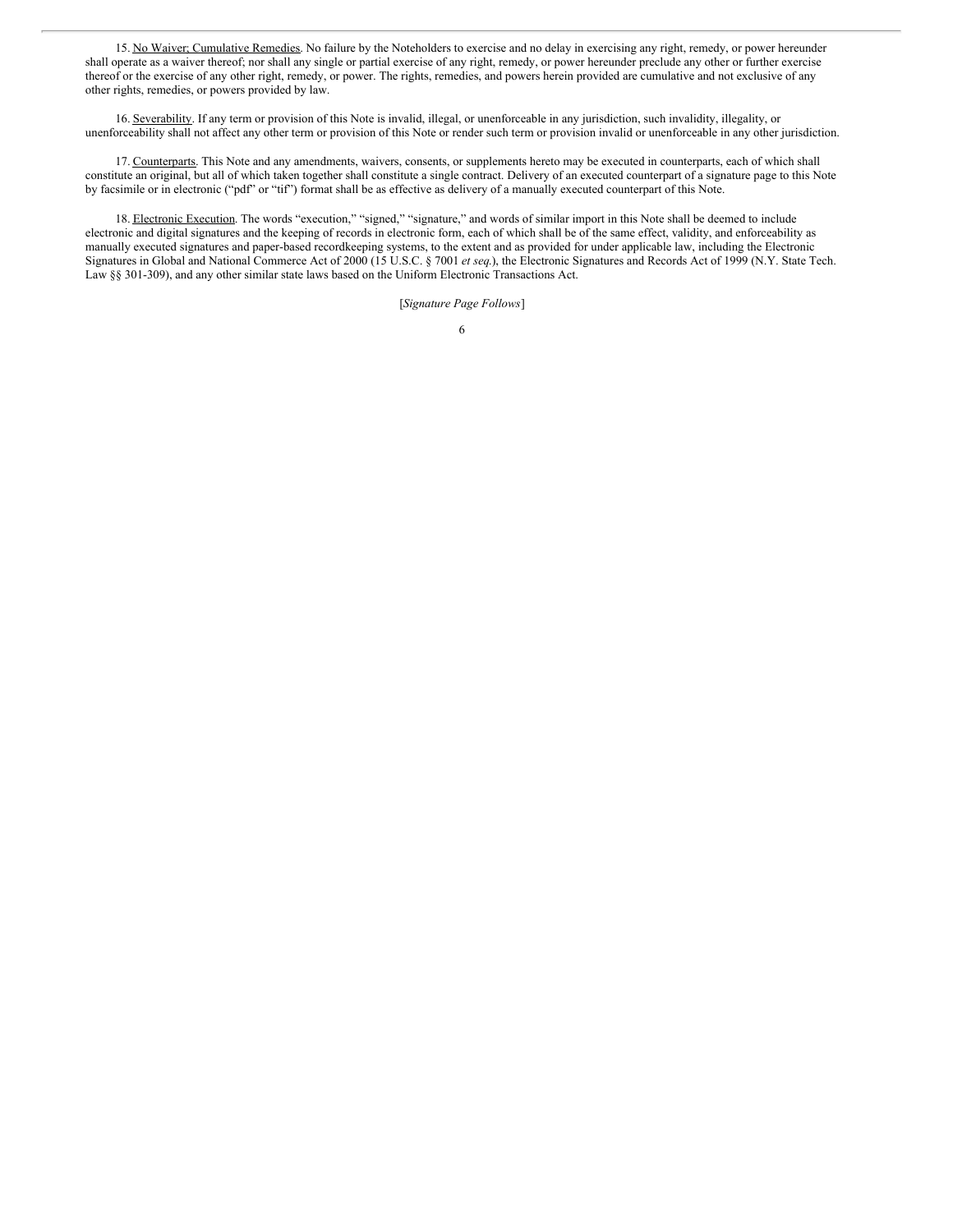15. No Waiver; Cumulative Remedies. No failure by the Noteholders to exercise and no delay in exercising any right, remedy, or power hereunder shall operate as a waiver thereof; nor shall any single or partial exercise of any right, remedy, or power hereunder preclude any other or further exercise thereof or the exercise of any other right, remedy, or power. The rights, remedies, and powers herein provided are cumulative and not exclusive of any other rights, remedies, or powers provided by law.

16. Severability. If any term or provision of this Note is invalid, illegal, or unenforceable in any jurisdiction, such invalidity, illegality, or unenforceability shall not affect any other term or provision of this Note or render such term or provision invalid or unenforceable in any other jurisdiction.

17. Counterparts. This Note and any amendments, waivers, consents, or supplements hereto may be executed in counterparts, each of which shall constitute an original, but all of which taken together shall constitute a single contract. Delivery of an executed counterpart of a signature page to this Note by facsimile or in electronic ("pdf" or "tif") format shall be as effective as delivery of a manually executed counterpart of this Note.

18. Electronic Execution. The words "execution," "signed," "signature," and words of similar import in this Note shall be deemed to include electronic and digital signatures and the keeping of records in electronic form, each of which shall be of the same effect, validity, and enforceability as manually executed signatures and paper-based recordkeeping systems, to the extent and as provided for under applicable law, including the Electronic Signatures in Global and National Commerce Act of 2000 (15 U.S.C. § 7001 *et seq*.), the Electronic Signatures and Records Act of 1999 (N.Y. State Tech. Law §§ 301-309), and any other similar state laws based on the Uniform Electronic Transactions Act.

[*Signature Page Follows*]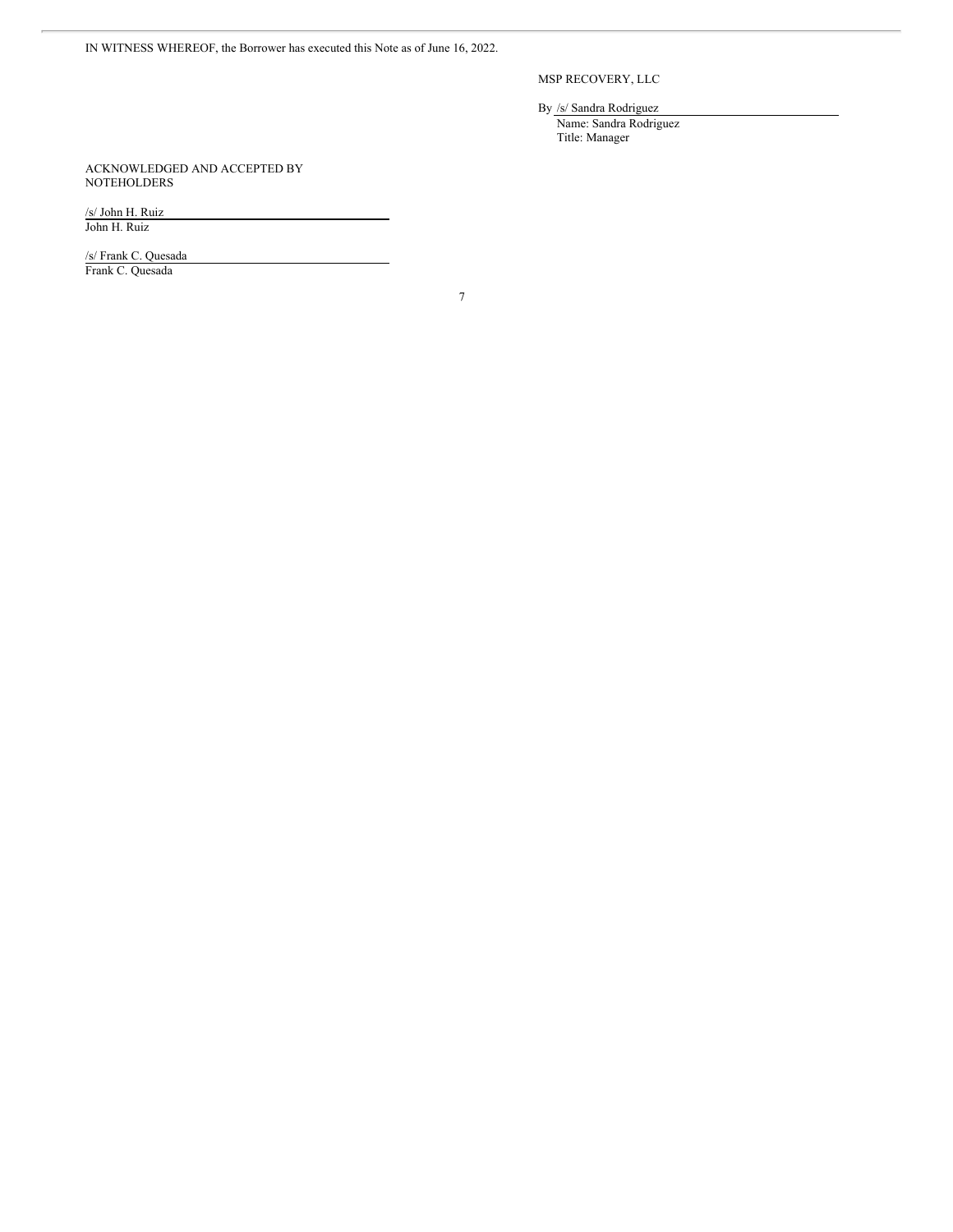IN WITNESS WHEREOF, the Borrower has executed this Note as of June 16, 2022.

MSP RECOVERY, LLC

By /s/ Sandra Rodriguez Name: Sandra Rodriguez Title: Manager

ACKNOWLEDGED AND ACCEPTED BY **NOTEHOLDERS** 

/s/ John H. Ruiz John H. Ruiz

/s/ Frank C. Quesada Frank C. Quesada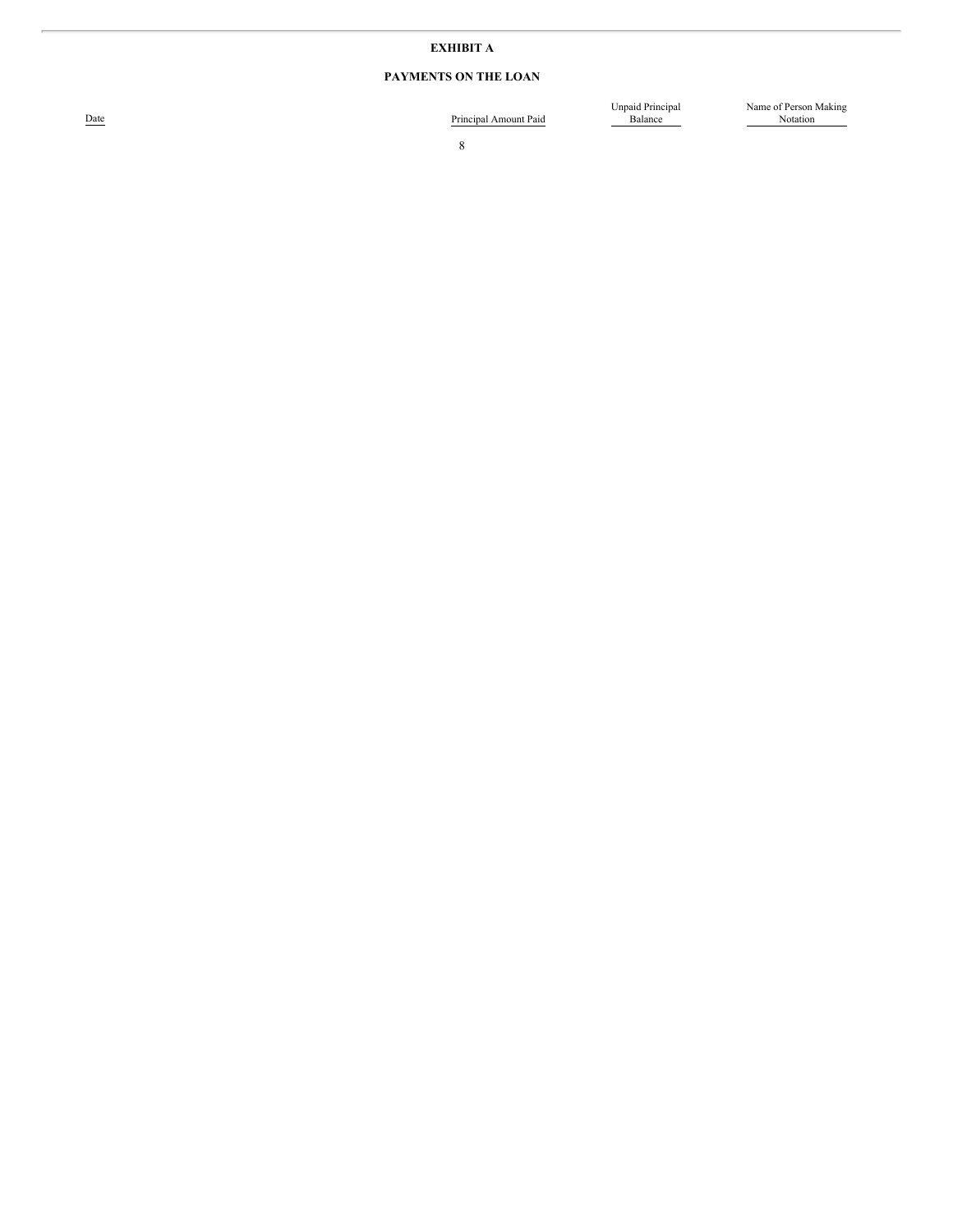#### **E X H I B I T A**

#### **PAYMENTS ON THE LOAN**

Date

Principal Amount Paid

Unpaid Principal<br>Balance

Name of Person Making Notation